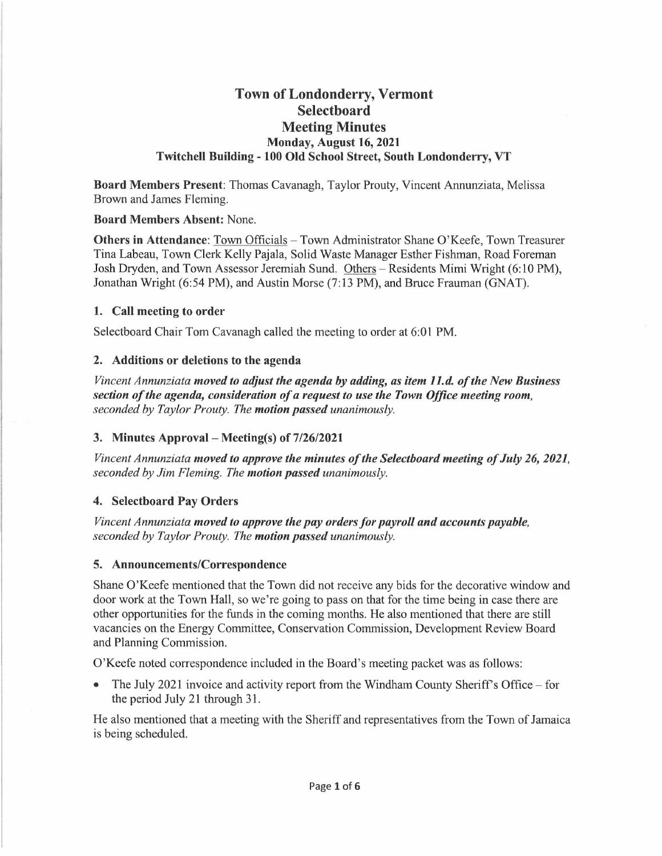# **Town of Londonderry, Vermont Selectboard Meeting Minutes Monday, August 16, 2021 Twitchell Building - 100 Old School Street, South Londonderry, VT**

**Board Members Present:** Thomas Cavanagh, Taylor Prouty, Vincent Annunziata, Melissa Brown and James Fleming.

#### **Board Members Absent:** None.

**Others in Attendance:** Town Officials – Town Administrator Shane O'Keefe, Town Treasurer Tina Labeau, Town Clerk Kelly Pajala, Solid Waste Manager Esther Fishman, Road Foreman Josh Dryden, and Town Assessor Jeremiah Sund. Others-Residents Mimi Wright (6:10 PM), Jonathan Wright (6:54 PM), and Austin Morse (7:13 PM), and Bruce Frauman (GNAT).

### **1. Call meeting to order**

Selectboard Chair Tom Cavanagh called the meeting to order at 6:01 PM.

### **2. Additions or deletions to the agenda**

*Vincent Annunziata moved to adjust the agenda by adding, as item 11.d. of the New Business section of the agenda, consideration of a request to use the Town Office meeting room, seconded by Taylor Prouty. The motion passed unanimously.* 

### **3. Minutes Approval - Meeting(s) of 7/26/2021**

*Vincent Annunziata moved to approve the minutes of the Selectboard meeting of July 26, 2021, seconded by Jim Fleming. The motion passed unanimously.* 

### **4. Selectboard Pay Orders**

*Vincent Annunziata moved to approve the pay orders for payroll and accounts payable, seconded by Taylor Prouty. The motion passed unanimously.* 

#### **5. Announcements/Correspondence**

Shane O'Keefe mentioned that the Town did not receive any bids for the decorative window and door work at the Town Hall, so we're going to pass on that for the time being in case there are other opportunities for the funds in the coming months. He also mentioned that there are still vacancies on the Energy Committee, Conservation Commission, Development Review Board and Planning Commission.

O'Keefe noted correspondence included in the Board's meeting packet was as follows:

The July 2021 invoice and activity report from the Windham County Sheriff's Office - for the period July 21 through 31.

He also mentioned that a meeting with the Sheriff and representatives from the Town of Jamaica is being scheduled.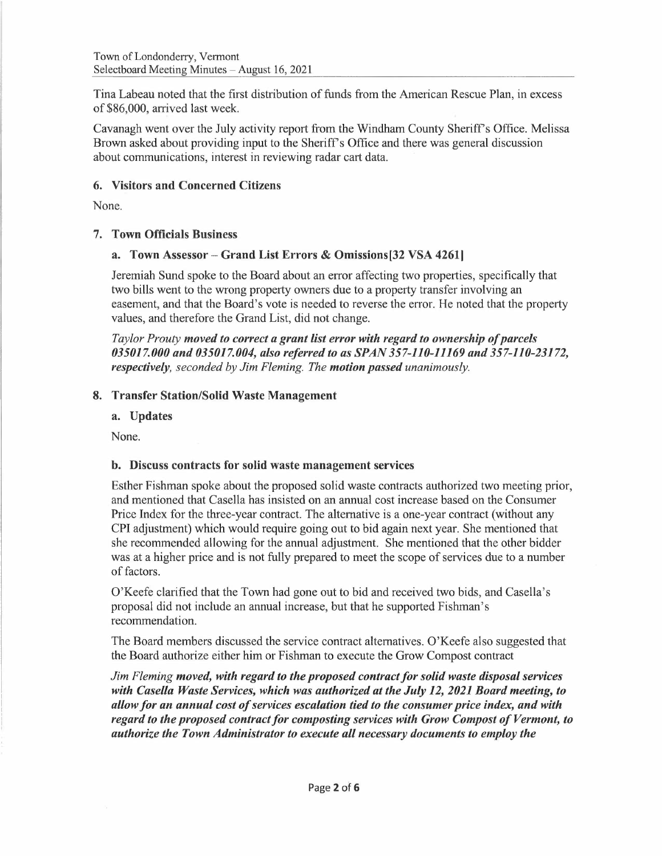Tina Labeau noted that the first distribution of funds from the American Rescue Plan, in excess of \$86,000, arrived last week.

Cavanagh went over the July activity report from the Windham County Sheriff's Office. Melissa Brown asked about providing input to the Sheriff's Office and there was general discussion about communications, interest in reviewing radar cart data.

### **6. Visitors and Concerned Citizens**

None.

## 7. **Town Officials Business**

## **a. Town Assessor- Grand List Errors** & **Omissions[32 VSA 42611**

Jeremiah Sund spoke to the Board about an error affecting two properties, specifically that two bills went to the wrong property owners due to a property transfer involving an easement, and that the Board's vote is needed to reverse the error. He noted that the property values, and therefore the Grand List, did not change.

*Taylor Prouty moved to correct a grant list error with regard to ownership of parcels 035017.000 and 035017.004, also referred to as SPAN 357-110-11169 and 357-110-23172, respectively, seconded by Jim Fleming. The motion passed unanimously.* 

### **8. Transfer Station/Solid Waste Management**

**a. Updates** 

None.

# **b. Discuss contracts for solid waste management services**

Esther Fishman spoke about the proposed solid waste contracts authorized two meeting prior, and mentioned that Casella has insisted on an annual cost increase based on the Consumer Price Index for the three-year contract. The alternative is a one-year contract (without any CPI adjustment) which would require going out to bid again next year. She mentioned that she recommended allowing for the annual adjustment. She mentioned that the other bidder was at a higher price and is not fully prepared to meet the scope of services due to a number of factors.

O'Keefe clarified that the Town had gone out to bid and received two bids, and Casella's proposal did not include an annual increase, but that he supported Fishman's recommendation.

The Board members discussed the service contract alternatives. O'Keefe also suggested that the Board authorize either him or Fishman to execute the Grow Compost contract

*Jim Fleming moved, with regard to the proposed contract for solid waste disposal services with Casella Waste Services, which was authorized at the July 12, 2021 Board meeting, to allow for an annual cost of services escalation tied to the consumer price index, and with regard to the proposed contract for composting services with Grow Compost of Vermont, to authorize the Town Administrator to execute all necessary documents to employ the*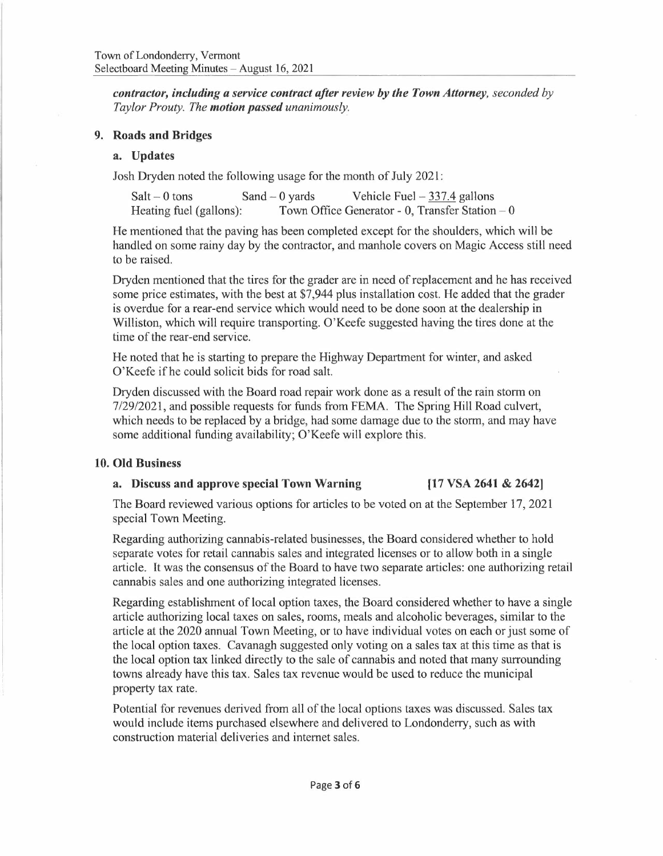*contractor, including a service contract after review by the Town Attorney, seconded by Taylor Prouty. The motion passed unanimously.* 

#### **9. Roads and Bridges**

### **a. Updates**

Josh Dryden noted the following usage for the month of July 2021:

Salt  $-0$  tons Sand  $-0$  yards Vehicle Fuel  $-337.4$  gallons<br>Heating fuel (gallons): Town Office Generator - 0, Transfer Station Town Office Generator - 0, Transfer Station  $- 0$ 

He mentioned that the paving has been completed except for the shoulders, which will be handled on some rainy day by the contractor, and manhole covers on Magic Access still need to be raised.

Dryden mentioned that the tires for the grader are in need of replacement and he has received some price estimates, with the best at \$7,944 plus installation cost. He added that the grader is overdue for a rear-end service which would need to be done soon at the dealership in Williston, which will require transporting. O'Keefe suggested having the tires done at the time of the rear-end service.

He noted that he is starting to prepare the Highway Department for winter, and asked O'Keefe if he could solicit bids for road salt.

Dryden discussed with the Board road repair work done as a result of the rain storm on 7/29/2021, and possible requests for funds from FEMA. The Spring Hill Road culvert, which needs to be replaced by a bridge, had some damage due to the storm, and may have some additional funding availability; O'Keefe will explore this.

#### **10. Old Business**

### **a. Discuss and approve special Town Warning [17 VSA 2641** & **2642]**

The Board reviewed various options for articles to be voted on at the September 17, 2021 special Town Meeting.

Regarding authorizing cannabis-related businesses, the Board considered whether to hold separate votes for retail cannabis sales and integrated licenses or to allow both in a single article. It was the consensus of the Board to have two separate articles: one authorizing retail cannabis sales and one authorizing integrated licenses.

Regarding establishment of local option taxes, the Board considered whether to have a single article authorizing local taxes on sales, rooms, meals and alcoholic beverages, similar to the article at the 2020 annual Town Meeting, or to have individual votes on each or just some of the local option taxes. Cavanagh suggested only voting on a sales tax at this time as that is the local option tax linked directly to the sale of cannabis and noted that many surrounding towns already have this tax. Sales tax revenue would be used to reduce the municipal property tax rate.

Potential for revenues derived from all of the local options taxes was discussed. Sales tax would include items purchased elsewhere and delivered to Londonderry, such as with construction material deliveries and internet sales.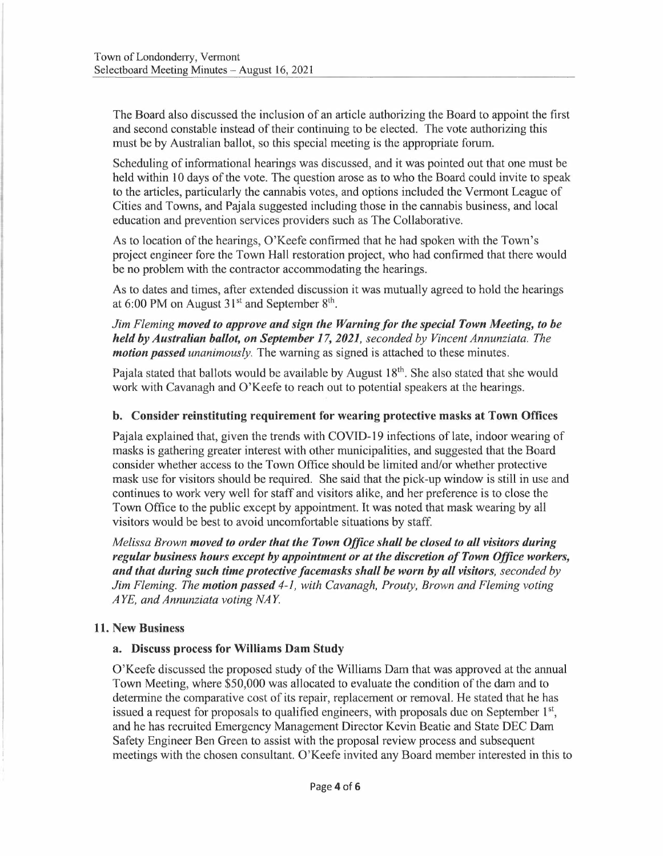The Board also discussed the inclusion of an article authorizing the Board to appoint the first and second constable instead of their continuing to be elected. The vote authorizing this must be by Australian ballot, so this special meeting is the appropriate forum.

Scheduling of informational hearings was discussed, and it was pointed out that one must be held within IO days of the vote. The question arose as to who the Board could invite to speak to the articles, particularly the cannabis votes, and options included the Vermont League of Cities and Towns, and Pajala suggested including those in the cannabis business, and local education and prevention services providers such as The Collaborative.

As to location of the hearings, O'Keefe confirmed that he had spoken with the Town's project engineer fore the Town Hall restoration project, who had confirmed that there would be no problem with the contractor accommodating the hearings.

As to dates and times, after extended discussion it was mutually agreed to hold the hearings at  $6:00$  PM on August  $31<sup>st</sup>$  and September  $8<sup>th</sup>$ .

*Jim Fleming moved to approve and sign the Warning for the special Town Meeting, to be held by Australian ballot, on September 17, 2021, seconded by Vincent Annunziata. The motion passed unanimously*. The warning as signed is attached to these minutes.

Pajala stated that ballots would be available by August 18<sup>th</sup>. She also stated that she would work with Cavanagh and O'Keefe to reach out to potential speakers at the hearings.

### **b. Consider reinstituting requirement for wearing protective masks at Town Offices**

Pajala explained that, given the trends with COVID-19 infections of late, indoor wearing of masks is gathering greater interest with other municipalities, and suggested that the Board consider whether access to the Town Office should be limited and/or whether protective mask use for visitors should be required. She said that the pick-up window is still in use and continues to work very well for staff and visitors alike, and her preference is to close the Town Office to the public except by appointment. It was noted that mask wearing by all visitors would be best to avoid uncomfortable situations by staff.

*Melissa Brown moved to order that the Town Office shall be closed to all visitors during regular business hours except by appointment or at the discretion of Town Office workers, and that during such time protective facemasks shall be worn by all visitors, seconded by Jim Fleming. The motion passed 4-1, with Cavanagh, Prouty, Brown and Fleming voting A YE, and Annunziata voting NAY* 

### **11. New Business**

### **a. Discuss process for Williams Dam Study**

O'Keefe discussed the proposed study of the Williams Dam that was approved at the annual Town Meeting, where \$50,000 was allocated to evaluate the condition of the dam and to determine the comparative cost of its repair, replacement or removal. He stated that he has issued a request for proposals to qualified engineers, with proposals due on September  $1<sup>st</sup>$ , and he has recruited Emergency Management Director Kevin Beatie and State DEC Dam Safety Engineer Ben Green to assist with the proposal review process and subsequent meetings with the chosen consultant. O'Keefe invited any Board member interested in this to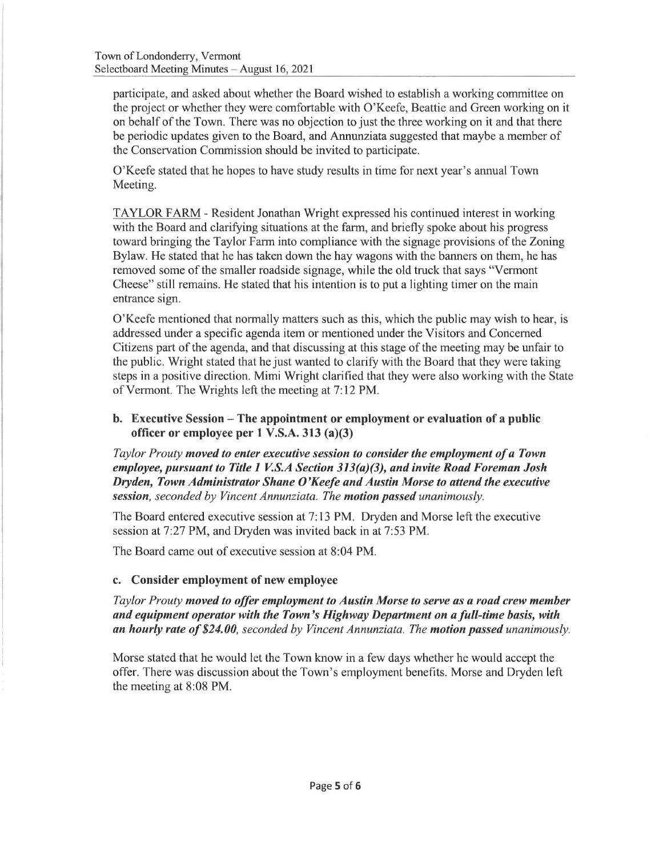participate, and asked about whether the Board wished to establish a working committee on the project or whether they were comfortable with O'Keefe, Beattie and Green working on it on behalf of the Town. There was no objection to just the three working on it and that there be periodic updates given to the Board, and Annunziata suggested that maybe a member of the Conservation Commission should be invited to participate,

O'Keefe stated that he hopes to have study results in time for next year's annual Town Meeting.

TAYLOR FARM - Resident Jonathan Wright expressed his continued interest in working with the Board and clarifying situations at the farm, and briefly spoke about his progress toward bringing the Taylor Farm into compliance with the signage provisions of the Zoning Bylaw. He stated that he has taken down the hay wagons with the banners on them, he has removed some of the smaller roadside signage, while the old truck that says "Vermont Cheese" still remains. He stated that his intention is to put a lighting timer on the main entrance sign.

O'Keefe mentioned that normally matters such as this, which the public may wish to hear, is addressed under a specific agenda item or mentioned under the Visitors and Concerned Citizens part of the agenda, and that discussing at this stage of the meeting may be unfair to the public. Wright stated that he just wanted to clarify with the Board that they were taking steps in a positive direction. Mimi Wright clarified that they were also working with the State of Vermont. The Wrights left the meeting at 7: 12 PM.

### **b. Executive Session - The appointment or employment or evaluation of a public officer or employee per 1 V.S.A. 313 (a)(3)**

*Taylor Prouty moved to enter executive session to consider the employment of a Town employee, pursuant to Title 1 V.S.A Section 313(a)(3), and invite Road Foreman Josh Dryden, Town Administrator Shane O'Keefe and Austin Morse to attend the executive session, seconded by Vincent Annunziata. The motion passed unanimously.* 

The Board entered executive session at 7: 13 PM. Dryden and Morse left the executive session at 7:27 PM, and Dryden was invited back in at 7:53 PM.

The Board came out of executive session at 8:04 PM.

### c. **Consider employment of new employee**

*Taylor Prouty moved to offer employment to Austin Morse to serve as a road crew member and equipment operator with the Town's Highway Department on a full-time basis, with an hourly rate of \$24.00, seconded by Vincent Annunziata. The motion passed unanimously.* 

Morse stated that he would let the Town know in a few days whether he would accept the offer. There was discussion about the Town's employment benefits. Morse and Dryden left the meeting at 8:08 PM.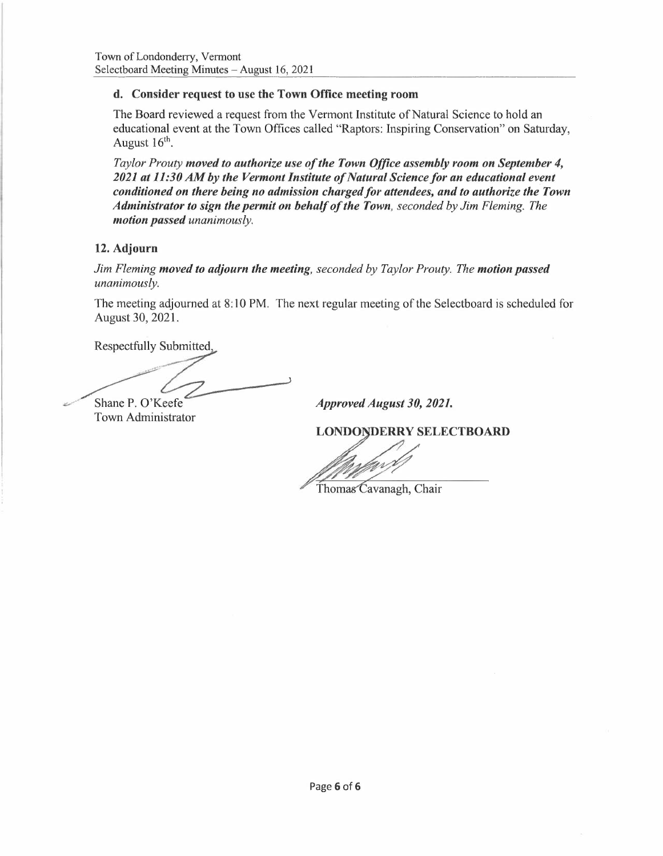## **d. Consider request to use the Town Office meeting room**

The Board reviewed a request from the Vermont Institute of Natural Science to hold an educational event at the Town Offices called "Raptors: Inspiring Conservation" on Saturday, August 16<sup>th</sup>.

*Taylor Prouty moved to authorize use of the Town Office assembly room on September 4, 2021 at 11:30 AM by the Vermont Institute of Natural Science for an educational event conditioned on there being no admission charged for attendees, and to authorize the Town Administrator to sign the permit on behalf of the Town, seconded by Jim Fleming. The motion passed unanimously.* 

## **12. Adjourn**

*Jim Fleming moved to adjourn the meeting, seconded by Taylor Prouty. The motion passed unanimously.* 

The meeting adjourned at 8: 10 PM. The next regular meeting of the Selectboard is scheduled for August 30, 2021.

Respectfully Submitted,

.,\_,., .. •· The meeting &<br>August 30, 20<br>Respectfully<br>Nespectfully<br>Shane P. O'K<br>Town Admin moved to adjourn the meeting, seconded by Tayl<br>adjourned at 8:10 PM. The next regular meeting<br>021.<br>Submitted.<br>eefe *Approved August*<br>istrator **LONDONDERR** 

Shane P. O'K eefe Town Administrator

*Approved August 30, 2021.* 

**LONDONDERRY SELECTBOARD** 

Thomas Cavanagh, Chair